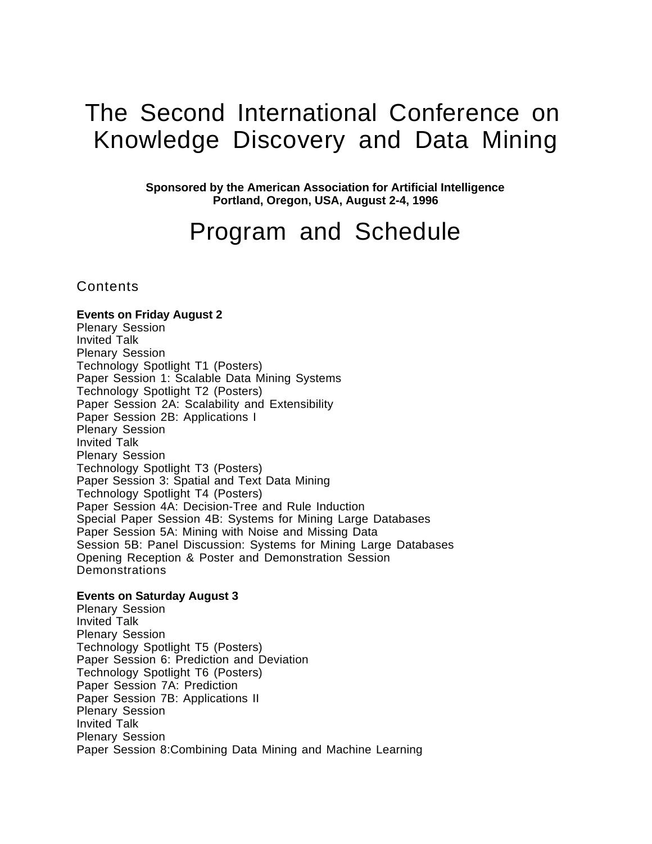# The Second International Conference on Knowledge Discovery and Data Mining

**Sponsored by the American Association for Artificial Intelligence Portland, Oregon, USA, August 2-4, 1996**

# Program and Schedule

**Contents** 

**Events on Friday August 2** Plenary Session Invited Talk Plenary Session Technology Spotlight T1 (Posters) Paper Session 1: Scalable Data Mining Systems Technology Spotlight T2 (Posters) Paper Session 2A: Scalability and Extensibility Paper Session 2B: Applications I Plenary Session Invited Talk Plenary Session Technology Spotlight T3 (Posters) Paper Session 3: Spatial and Text Data Mining Technology Spotlight T4 (Posters) Paper Session 4A: Decision-Tree and Rule Induction Special Paper Session 4B: Systems for Mining Large Databases Paper Session 5A: Mining with Noise and Missing Data Session 5B: Panel Discussion: Systems for Mining Large Databases Opening Reception & Poster and Demonstration Session Demonstrations

#### **Events on Saturday August 3**

Plenary Session Invited Talk Plenary Session Technology Spotlight T5 (Posters) Paper Session 6: Prediction and Deviation Technology Spotlight T6 (Posters) Paper Session 7A: Prediction Paper Session 7B: Applications II Plenary Session Invited Talk Plenary Session Paper Session 8:Combining Data Mining and Machine Learning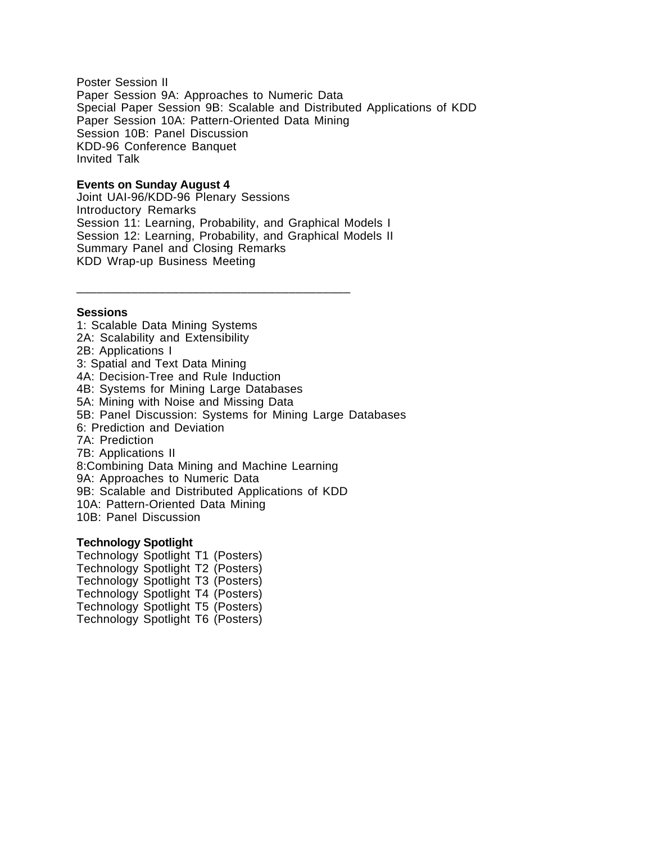Poster Session II Paper Session 9A: Approaches to Numeric Data Special Paper Session 9B: Scalable and Distributed Applications of KDD Paper Session 10A: Pattern-Oriented Data Mining Session 10B: Panel Discussion KDD-96 Conference Banquet Invited Talk

#### **Events on Sunday August 4**

Joint UAI-96/KDD-96 Plenary Sessions Introductory Remarks Session 11: Learning, Probability, and Graphical Models I Session 12: Learning, Probability, and Graphical Models II Summary Panel and Closing Remarks KDD Wrap-up Business Meeting

\_\_\_\_\_\_\_\_\_\_\_\_\_\_\_\_\_\_\_\_\_\_\_\_\_\_\_\_\_\_\_\_\_\_\_\_\_\_\_\_

#### **Sessions**

1: Scalable Data Mining Systems 2A: Scalability and Extensibility 2B: Applications I 3: Spatial and Text Data Mining 4A: Decision-Tree and Rule Induction 4B: Systems for Mining Large Databases 5A: Mining with Noise and Missing Data 5B: Panel Discussion: Systems for Mining Large Databases 6: Prediction and Deviation 7A: Prediction 7B: Applications II 8:Combining Data Mining and Machine Learning 9A: Approaches to Numeric Data 9B: Scalable and Distributed Applications of KDD 10A: Pattern-Oriented Data Mining 10B: Panel Discussion

#### **Technology Spotlight**

Technology Spotlight T1 (Posters) Technology Spotlight T2 (Posters) Technology Spotlight T3 (Posters) Technology Spotlight T4 (Posters) Technology Spotlight T5 (Posters) Technology Spotlight T6 (Posters)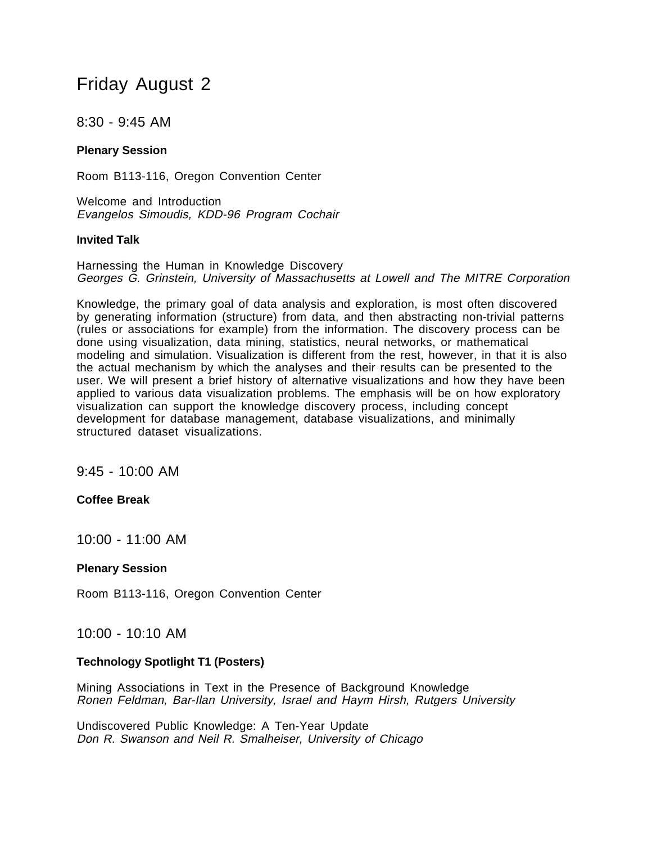# Friday August 2

8:30 - 9:45 AM

# **Plenary Session**

Room B113-116, Oregon Convention Center

Welcome and Introduction Evangelos Simoudis, KDD-96 Program Cochair

### **Invited Talk**

Harnessing the Human in Knowledge Discovery Georges G. Grinstein, University of Massachusetts at Lowell and The MITRE Corporation

Knowledge, the primary goal of data analysis and exploration, is most often discovered by generating information (structure) from data, and then abstracting non-trivial patterns (rules or associations for example) from the information. The discovery process can be done using visualization, data mining, statistics, neural networks, or mathematical modeling and simulation. Visualization is different from the rest, however, in that it is also the actual mechanism by which the analyses and their results can be presented to the user. We will present a brief history of alternative visualizations and how they have been applied to various data visualization problems. The emphasis will be on how exploratory visualization can support the knowledge discovery process, including concept development for database management, database visualizations, and minimally structured dataset visualizations.

9:45 - 10:00 AM

# **Coffee Break**

10:00 - 11:00 AM

#### **Plenary Session**

Room B113-116, Oregon Convention Center

# 10:00 - 10:10 AM

#### **Technology Spotlight T1 (Posters)**

Mining Associations in Text in the Presence of Background Knowledge Ronen Feldman, Bar-Ilan University, Israel and Haym Hirsh, Rutgers University

Undiscovered Public Knowledge: A Ten-Year Update Don R. Swanson and Neil R. Smalheiser, University of Chicago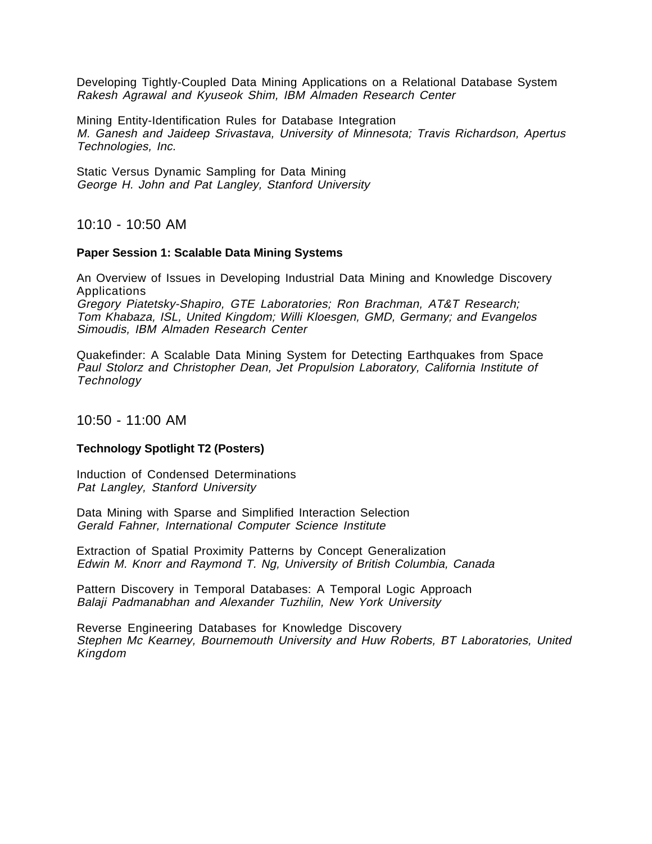Developing Tightly-Coupled Data Mining Applications on a Relational Database System Rakesh Agrawal and Kyuseok Shim, IBM Almaden Research Center

Mining Entity-Identification Rules for Database Integration M. Ganesh and Jaideep Srivastava, University of Minnesota; Travis Richardson, Apertus Technologies, Inc.

Static Versus Dynamic Sampling for Data Mining George H. John and Pat Langley, Stanford University

10:10 - 10:50 AM

#### **Paper Session 1: Scalable Data Mining Systems**

An Overview of Issues in Developing Industrial Data Mining and Knowledge Discovery Applications

Gregory Piatetsky-Shapiro, GTE Laboratories; Ron Brachman, AT&T Research; Tom Khabaza, ISL, United Kingdom; Willi Kloesgen, GMD, Germany; and Evangelos Simoudis, IBM Almaden Research Center

Quakefinder: A Scalable Data Mining System for Detecting Earthquakes from Space Paul Stolorz and Christopher Dean, Jet Propulsion Laboratory, California Institute of **Technology** 

# 10:50 - 11:00 AM

#### **Technology Spotlight T2 (Posters)**

Induction of Condensed Determinations Pat Langley, Stanford University

Data Mining with Sparse and Simplified Interaction Selection Gerald Fahner, International Computer Science Institute

Extraction of Spatial Proximity Patterns by Concept Generalization Edwin M. Knorr and Raymond T. Ng, University of British Columbia, Canada

Pattern Discovery in Temporal Databases: A Temporal Logic Approach Balaji Padmanabhan and Alexander Tuzhilin, New York University

Reverse Engineering Databases for Knowledge Discovery Stephen Mc Kearney, Bournemouth University and Huw Roberts, BT Laboratories, United Kingdom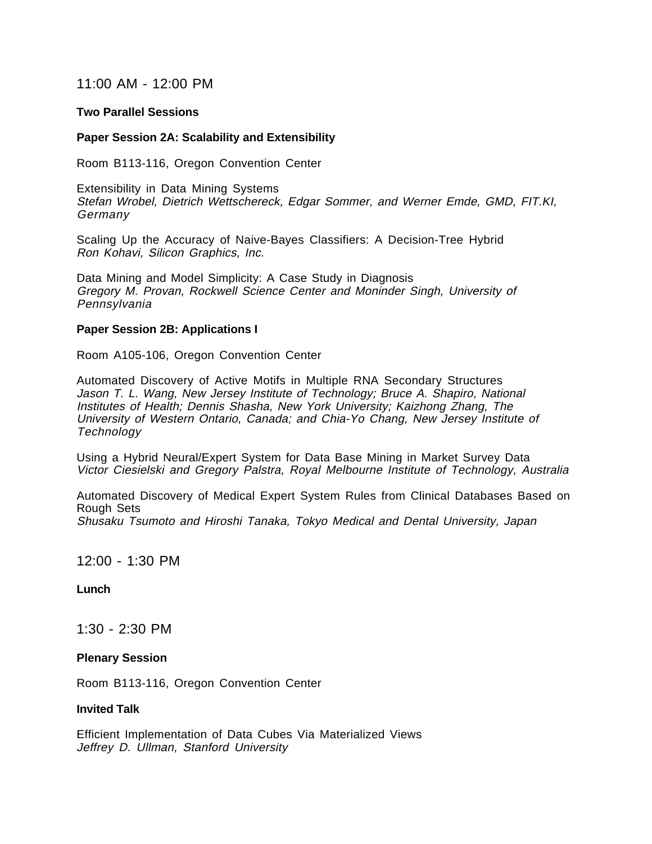# 11:00 AM - 12:00 PM

#### **Two Parallel Sessions**

#### **Paper Session 2A: Scalability and Extensibility**

Room B113-116, Oregon Convention Center

Extensibility in Data Mining Systems Stefan Wrobel, Dietrich Wettschereck, Edgar Sommer, and Werner Emde, GMD, FIT.KI, Germany

Scaling Up the Accuracy of Naive-Bayes Classifiers: A Decision-Tree Hybrid Ron Kohavi, Silicon Graphics, Inc.

Data Mining and Model Simplicity: A Case Study in Diagnosis Gregory M. Provan, Rockwell Science Center and Moninder Singh, University of **Pennsylvania** 

#### **Paper Session 2B: Applications I**

Room A105-106, Oregon Convention Center

Automated Discovery of Active Motifs in Multiple RNA Secondary Structures Jason T. L. Wang, New Jersey Institute of Technology; Bruce A. Shapiro, National Institutes of Health; Dennis Shasha, New York University; Kaizhong Zhang, The University of Western Ontario, Canada; and Chia-Yo Chang, New Jersey Institute of **Technology** 

Using a Hybrid Neural/Expert System for Data Base Mining in Market Survey Data Victor Ciesielski and Gregory Palstra, Royal Melbourne Institute of Technology, Australia

Automated Discovery of Medical Expert System Rules from Clinical Databases Based on Rough Sets Shusaku Tsumoto and Hiroshi Tanaka, Tokyo Medical and Dental University, Japan

# 12:00 - 1:30 PM

#### **Lunch**

1:30 - 2:30 PM

#### **Plenary Session**

Room B113-116, Oregon Convention Center

#### **Invited Talk**

Efficient Implementation of Data Cubes Via Materialized Views Jeffrey D. Ullman, Stanford University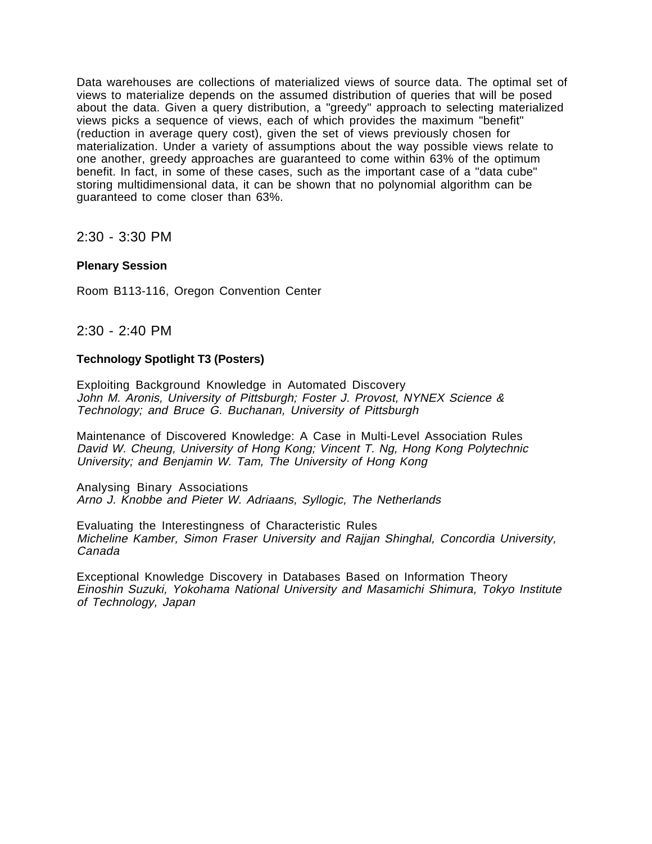Data warehouses are collections of materialized views of source data. The optimal set of views to materialize depends on the assumed distribution of queries that will be posed about the data. Given a query distribution, a "greedy" approach to selecting materialized views picks a sequence of views, each of which provides the maximum "benefit" (reduction in average query cost), given the set of views previously chosen for materialization. Under a variety of assumptions about the way possible views relate to one another, greedy approaches are guaranteed to come within 63% of the optimum benefit. In fact, in some of these cases, such as the important case of a "data cube" storing multidimensional data, it can be shown that no polynomial algorithm can be guaranteed to come closer than 63%.

2:30 - 3:30 PM

# **Plenary Session**

Room B113-116, Oregon Convention Center

2:30 - 2:40 PM

### **Technology Spotlight T3 (Posters)**

Exploiting Background Knowledge in Automated Discovery John M. Aronis, University of Pittsburgh; Foster J. Provost, NYNEX Science & Technology; and Bruce G. Buchanan, University of Pittsburgh

Maintenance of Discovered Knowledge: A Case in Multi-Level Association Rules David W. Cheung, University of Hong Kong; Vincent T. Ng, Hong Kong Polytechnic University; and Benjamin W. Tam, The University of Hong Kong

Analysing Binary Associations Arno J. Knobbe and Pieter W. Adriaans, Syllogic, The Netherlands

Evaluating the Interestingness of Characteristic Rules Micheline Kamber, Simon Fraser University and Rajjan Shinghal, Concordia University, Canada

Exceptional Knowledge Discovery in Databases Based on Information Theory Einoshin Suzuki, Yokohama National University and Masamichi Shimura, Tokyo Institute of Technology, Japan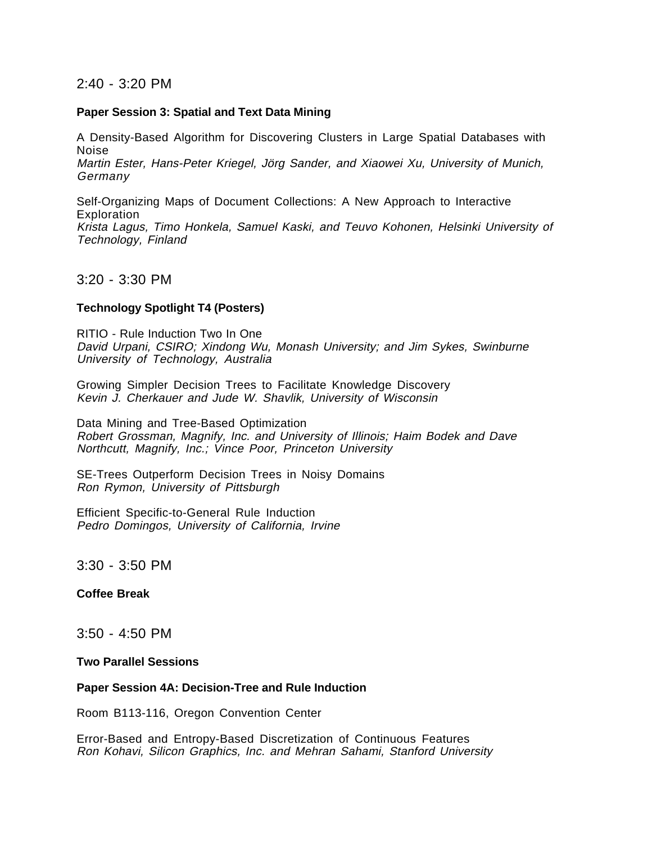# 2:40 - 3:20 PM

#### **Paper Session 3: Spatial and Text Data Mining**

A Density-Based Algorithm for Discovering Clusters in Large Spatial Databases with Noise Martin Ester, Hans-Peter Kriegel, Jörg Sander, and Xiaowei Xu, University of Munich, Germany

Self-Organizing Maps of Document Collections: A New Approach to Interactive **Exploration** Krista Lagus, Timo Honkela, Samuel Kaski, and Teuvo Kohonen, Helsinki University of Technology, Finland

#### 3:20 - 3:30 PM

#### **Technology Spotlight T4 (Posters)**

RITIO - Rule Induction Two In One David Urpani, CSIRO; Xindong Wu, Monash University; and Jim Sykes, Swinburne University of Technology, Australia

Growing Simpler Decision Trees to Facilitate Knowledge Discovery Kevin J. Cherkauer and Jude W. Shavlik, University of Wisconsin

Data Mining and Tree-Based Optimization Robert Grossman, Magnify, Inc. and University of Illinois; Haim Bodek and Dave Northcutt, Magnify, Inc.; Vince Poor, Princeton University

SE-Trees Outperform Decision Trees in Noisy Domains Ron Rymon, University of Pittsburgh

Efficient Specific-to-General Rule Induction Pedro Domingos, University of California, Irvine

3:30 - 3:50 PM

#### **Coffee Break**

3:50 - 4:50 PM

#### **Two Parallel Sessions**

#### **Paper Session 4A: Decision-Tree and Rule Induction**

Room B113-116, Oregon Convention Center

Error-Based and Entropy-Based Discretization of Continuous Features Ron Kohavi, Silicon Graphics, Inc. and Mehran Sahami, Stanford University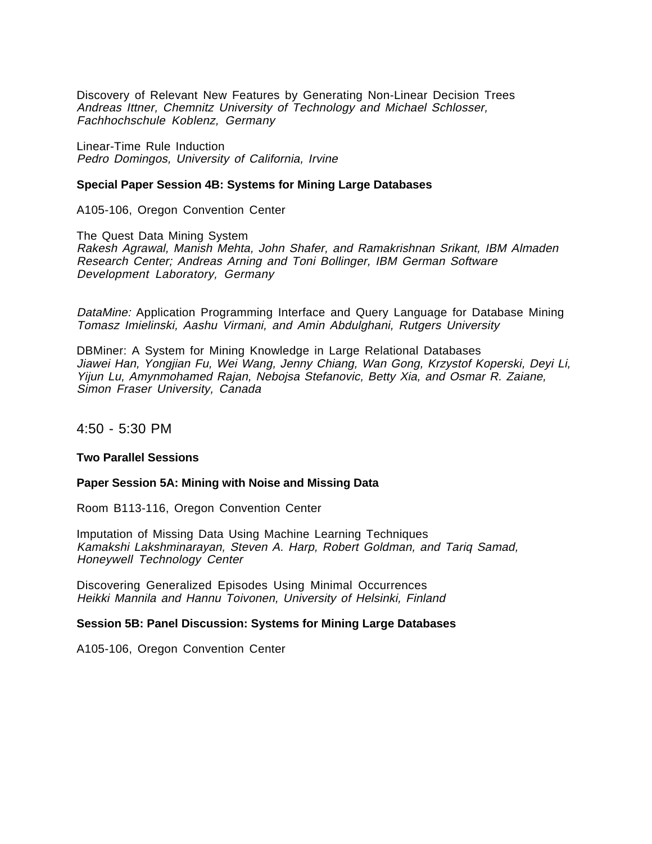Discovery of Relevant New Features by Generating Non-Linear Decision Trees Andreas Ittner, Chemnitz University of Technology and Michael Schlosser, Fachhochschule Koblenz, Germany

Linear-Time Rule Induction Pedro Domingos, University of California, Irvine

#### **Special Paper Session 4B: Systems for Mining Large Databases**

A105-106, Oregon Convention Center

The Quest Data Mining System Rakesh Agrawal, Manish Mehta, John Shafer, and Ramakrishnan Srikant, IBM Almaden Research Center; Andreas Arning and Toni Bollinger, IBM German Software Development Laboratory, Germany

DataMine: Application Programming Interface and Query Language for Database Mining Tomasz Imielinski, Aashu Virmani, and Amin Abdulghani, Rutgers University

DBMiner: A System for Mining Knowledge in Large Relational Databases Jiawei Han, Yongjian Fu, Wei Wang, Jenny Chiang, Wan Gong, Krzystof Koperski, Deyi Li, Yijun Lu, Amynmohamed Rajan, Nebojsa Stefanovic, Betty Xia, and Osmar R. Zaiane, Simon Fraser University, Canada

4:50 - 5:30 PM

#### **Two Parallel Sessions**

#### **Paper Session 5A: Mining with Noise and Missing Data**

Room B113-116, Oregon Convention Center

Imputation of Missing Data Using Machine Learning Techniques Kamakshi Lakshminarayan, Steven A. Harp, Robert Goldman, and Tariq Samad, Honeywell Technology Center

Discovering Generalized Episodes Using Minimal Occurrences Heikki Mannila and Hannu Toivonen, University of Helsinki, Finland

#### **Session 5B: Panel Discussion: Systems for Mining Large Databases**

A105-106, Oregon Convention Center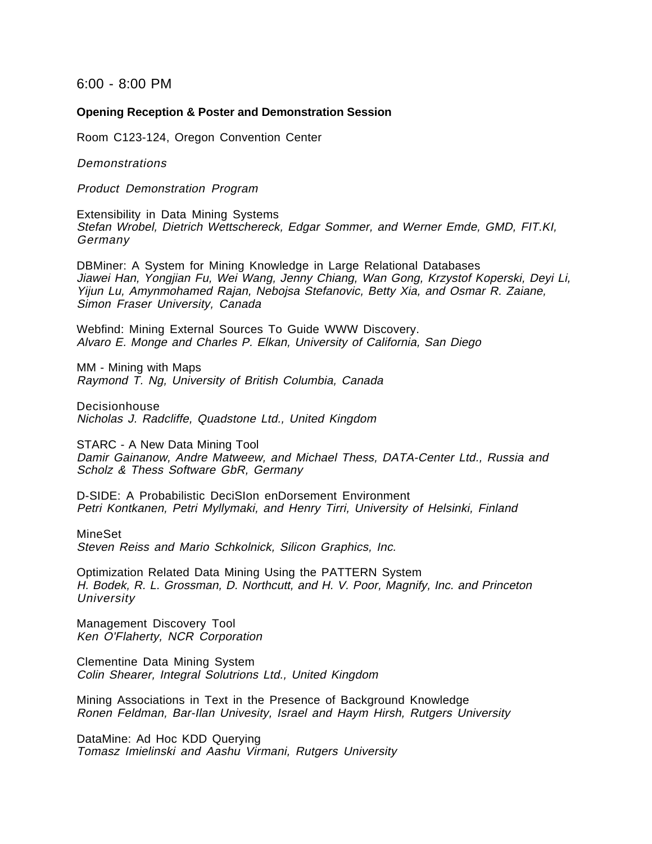6:00 - 8:00 PM

#### **Opening Reception & Poster and Demonstration Session**

Room C123-124, Oregon Convention Center

Demonstrations

Product Demonstration Program

Extensibility in Data Mining Systems Stefan Wrobel, Dietrich Wettschereck, Edgar Sommer, and Werner Emde, GMD, FIT.KI, Germany

DBMiner: A System for Mining Knowledge in Large Relational Databases Jiawei Han, Yongjian Fu, Wei Wang, Jenny Chiang, Wan Gong, Krzystof Koperski, Deyi Li, Yijun Lu, Amynmohamed Rajan, Nebojsa Stefanovic, Betty Xia, and Osmar R. Zaiane, Simon Fraser University, Canada

Webfind: Mining External Sources To Guide WWW Discovery. Alvaro E. Monge and Charles P. Elkan, University of California, San Diego

MM - Mining with Maps Raymond T. Ng, University of British Columbia, Canada

Decisionhouse Nicholas J. Radcliffe, Quadstone Ltd., United Kingdom

STARC - A New Data Mining Tool Damir Gainanow, Andre Matweew, and Michael Thess, DATA-Center Ltd., Russia and Scholz & Thess Software GbR, Germany

D-SIDE: A Probabilistic DeciSIon enDorsement Environment Petri Kontkanen, Petri Myllymaki, and Henry Tirri, University of Helsinki, Finland

MineSet Steven Reiss and Mario Schkolnick, Silicon Graphics, Inc.

Optimization Related Data Mining Using the PATTERN System H. Bodek, R. L. Grossman, D. Northcutt, and H. V. Poor, Magnify, Inc. and Princeton **University** 

Management Discovery Tool Ken O'Flaherty, NCR Corporation

Clementine Data Mining System Colin Shearer, Integral Solutrions Ltd., United Kingdom

Mining Associations in Text in the Presence of Background Knowledge Ronen Feldman, Bar-Ilan Univesity, Israel and Haym Hirsh, Rutgers University

DataMine: Ad Hoc KDD Querying Tomasz Imielinski and Aashu Virmani, Rutgers University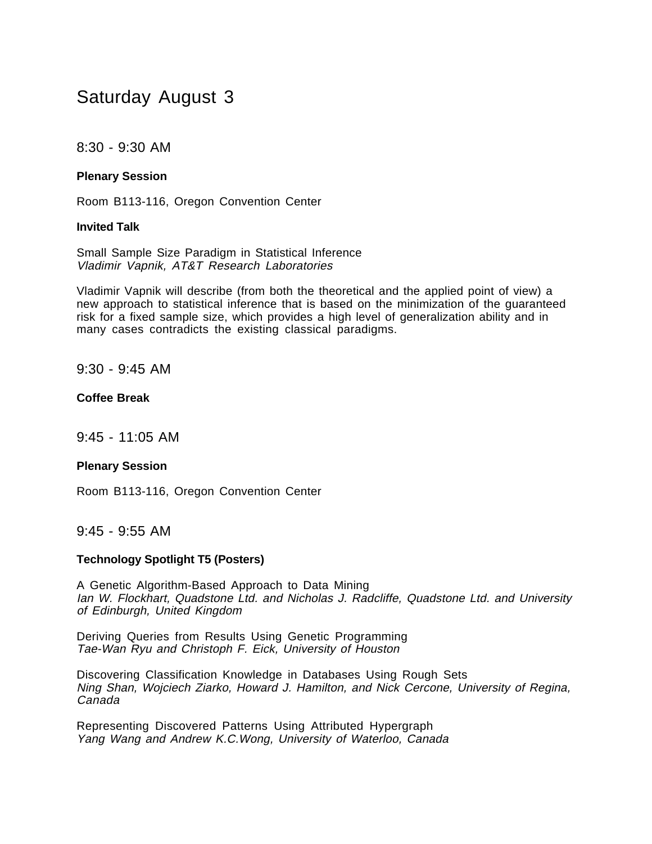# Saturday August 3

# 8:30 - 9:30 AM

### **Plenary Session**

Room B113-116, Oregon Convention Center

#### **Invited Talk**

Small Sample Size Paradigm in Statistical Inference Vladimir Vapnik, AT&T Research Laboratories

Vladimir Vapnik will describe (from both the theoretical and the applied point of view) a new approach to statistical inference that is based on the minimization of the guaranteed risk for a fixed sample size, which provides a high level of generalization ability and in many cases contradicts the existing classical paradigms.

9:30 - 9:45 AM

### **Coffee Break**

9:45 - 11:05 AM

#### **Plenary Session**

Room B113-116, Oregon Convention Center

# 9:45 - 9:55 AM

#### **Technology Spotlight T5 (Posters)**

A Genetic Algorithm-Based Approach to Data Mining Ian W. Flockhart, Quadstone Ltd. and Nicholas J. Radcliffe, Quadstone Ltd. and University of Edinburgh, United Kingdom

Deriving Queries from Results Using Genetic Programming Tae-Wan Ryu and Christoph F. Eick, University of Houston

Discovering Classification Knowledge in Databases Using Rough Sets Ning Shan, Wojciech Ziarko, Howard J. Hamilton, and Nick Cercone, University of Regina, Canada

Representing Discovered Patterns Using Attributed Hypergraph Yang Wang and Andrew K.C.Wong, University of Waterloo, Canada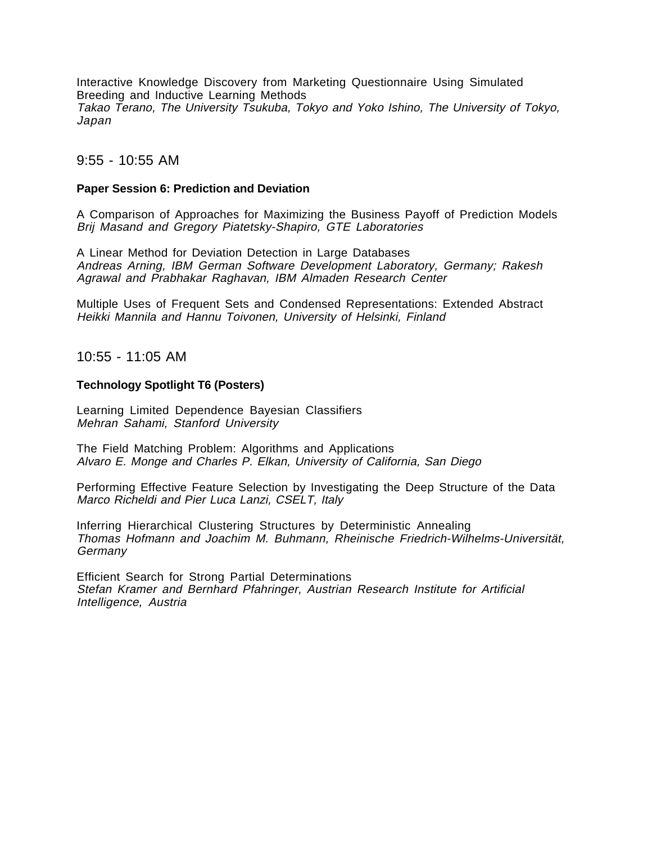Interactive Knowledge Discovery from Marketing Questionnaire Using Simulated Breeding and Inductive Learning Methods Takao Terano, The University Tsukuba, Tokyo and Yoko Ishino, The University of Tokyo, Japan

# 9:55 - 10:55 AM

#### **Paper Session 6: Prediction and Deviation**

A Comparison of Approaches for Maximizing the Business Payoff of Prediction Models Brij Masand and Gregory Piatetsky-Shapiro, GTE Laboratories

A Linear Method for Deviation Detection in Large Databases Andreas Arning, IBM German Software Development Laboratory, Germany; Rakesh Agrawal and Prabhakar Raghavan, IBM Almaden Research Center

Multiple Uses of Frequent Sets and Condensed Representations: Extended Abstract Heikki Mannila and Hannu Toivonen, University of Helsinki, Finland

10:55 - 11:05 AM

#### **Technology Spotlight T6 (Posters)**

Learning Limited Dependence Bayesian Classifiers Mehran Sahami, Stanford University

The Field Matching Problem: Algorithms and Applications Alvaro E. Monge and Charles P. Elkan, University of California, San Diego

Performing Effective Feature Selection by Investigating the Deep Structure of the Data Marco Richeldi and Pier Luca Lanzi, CSELT, Italy

Inferring Hierarchical Clustering Structures by Deterministic Annealing Thomas Hofmann and Joachim M. Buhmann, Rheinische Friedrich-Wilhelms-Universität, Germany

Efficient Search for Strong Partial Determinations Stefan Kramer and Bernhard Pfahringer, Austrian Research Institute for Artificial Intelligence, Austria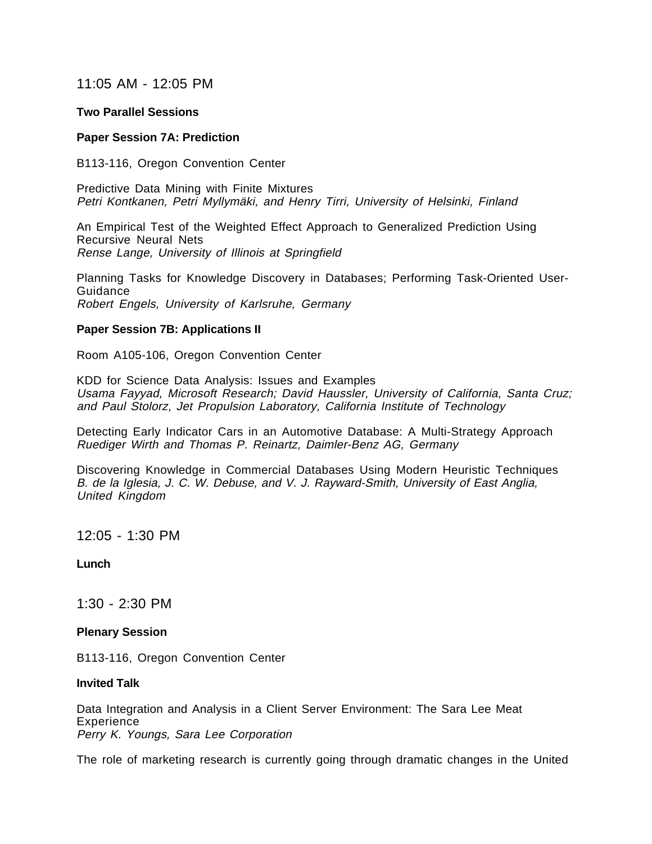# 11:05 AM - 12:05 PM

#### **Two Parallel Sessions**

#### **Paper Session 7A: Prediction**

B113-116, Oregon Convention Center

Predictive Data Mining with Finite Mixtures Petri Kontkanen, Petri Myllymäki, and Henry Tirri, University of Helsinki, Finland

An Empirical Test of the Weighted Effect Approach to Generalized Prediction Using Recursive Neural Nets Rense Lange, University of Illinois at Springfield

Planning Tasks for Knowledge Discovery in Databases; Performing Task-Oriented User-Guidance Robert Engels, University of Karlsruhe, Germany

#### **Paper Session 7B: Applications II**

Room A105-106, Oregon Convention Center

KDD for Science Data Analysis: Issues and Examples Usama Fayyad, Microsoft Research; David Haussler, University of California, Santa Cruz; and Paul Stolorz, Jet Propulsion Laboratory, California Institute of Technology

Detecting Early Indicator Cars in an Automotive Database: A Multi-Strategy Approach Ruediger Wirth and Thomas P. Reinartz, Daimler-Benz AG, Germany

Discovering Knowledge in Commercial Databases Using Modern Heuristic Techniques B. de la Iglesia, J. C. W. Debuse, and V. J. Rayward-Smith, University of East Anglia, United Kingdom

12:05 - 1:30 PM

**Lunch**

1:30 - 2:30 PM

#### **Plenary Session**

B113-116, Oregon Convention Center

#### **Invited Talk**

Data Integration and Analysis in a Client Server Environment: The Sara Lee Meat **Experience** Perry K. Youngs, Sara Lee Corporation

The role of marketing research is currently going through dramatic changes in the United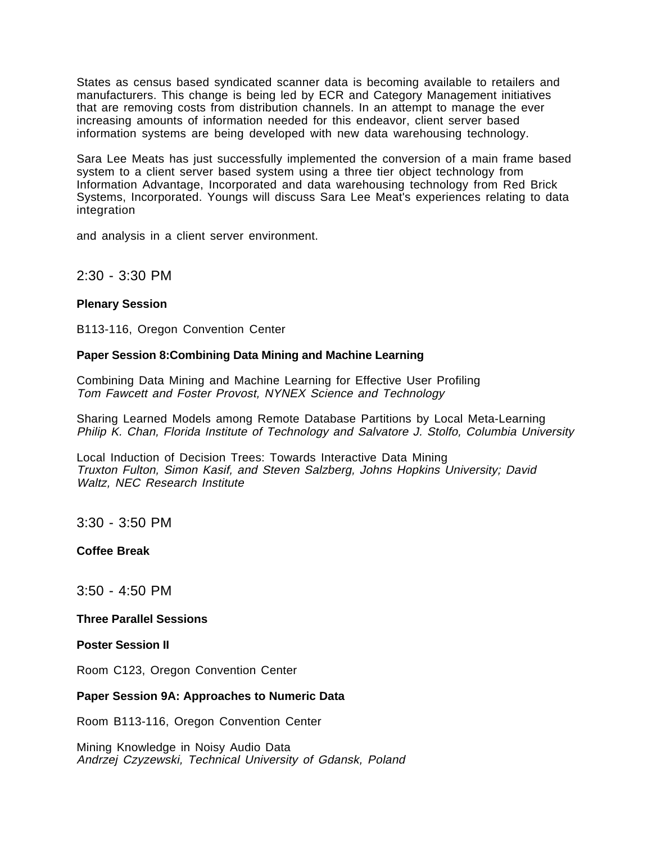States as census based syndicated scanner data is becoming available to retailers and manufacturers. This change is being led by ECR and Category Management initiatives that are removing costs from distribution channels. In an attempt to manage the ever increasing amounts of information needed for this endeavor, client server based information systems are being developed with new data warehousing technology.

Sara Lee Meats has just successfully implemented the conversion of a main frame based system to a client server based system using a three tier object technology from Information Advantage, Incorporated and data warehousing technology from Red Brick Systems, Incorporated. Youngs will discuss Sara Lee Meat's experiences relating to data integration

and analysis in a client server environment.

2:30 - 3:30 PM

### **Plenary Session**

B113-116, Oregon Convention Center

### **Paper Session 8:Combining Data Mining and Machine Learning**

Combining Data Mining and Machine Learning for Effective User Profiling Tom Fawcett and Foster Provost, NYNEX Science and Technology

Sharing Learned Models among Remote Database Partitions by Local Meta-Learning Philip K. Chan, Florida Institute of Technology and Salvatore J. Stolfo, Columbia University

Local Induction of Decision Trees: Towards Interactive Data Mining Truxton Fulton, Simon Kasif, and Steven Salzberg, Johns Hopkins University; David Waltz, NEC Research Institute

3:30 - 3:50 PM

**Coffee Break** 

3:50 - 4:50 PM

**Three Parallel Sessions** 

**Poster Session II** 

Room C123, Oregon Convention Center

#### **Paper Session 9A: Approaches to Numeric Data**

Room B113-116, Oregon Convention Center

Mining Knowledge in Noisy Audio Data Andrzej Czyzewski, Technical University of Gdansk, Poland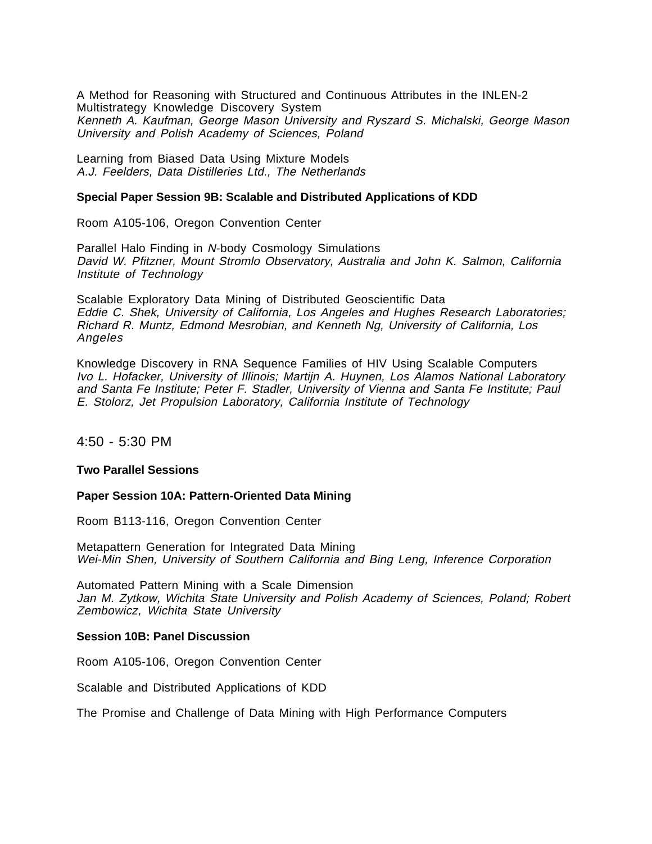A Method for Reasoning with Structured and Continuous Attributes in the INLEN-2 Multistrategy Knowledge Discovery System Kenneth A. Kaufman, George Mason University and Ryszard S. Michalski, George Mason University and Polish Academy of Sciences, Poland

Learning from Biased Data Using Mixture Models A.J. Feelders, Data Distilleries Ltd., The Netherlands

#### **Special Paper Session 9B: Scalable and Distributed Applications of KDD**

Room A105-106, Oregon Convention Center

Parallel Halo Finding in N-body Cosmology Simulations David W. Pfitzner, Mount Stromlo Observatory, Australia and John K. Salmon, California Institute of Technology

Scalable Exploratory Data Mining of Distributed Geoscientific Data Eddie C. Shek, University of California, Los Angeles and Hughes Research Laboratories; Richard R. Muntz, Edmond Mesrobian, and Kenneth Ng, University of California, Los Angeles

Knowledge Discovery in RNA Sequence Families of HIV Using Scalable Computers Ivo L. Hofacker, University of Illinois; Martijn A. Huynen, Los Alamos National Laboratory and Santa Fe Institute; Peter F. Stadler, University of Vienna and Santa Fe Institute; Paul E. Stolorz, Jet Propulsion Laboratory, California Institute of Technology

4:50 - 5:30 PM

#### **Two Parallel Sessions**

#### **Paper Session 10A: Pattern-Oriented Data Mining**

Room B113-116, Oregon Convention Center

Metapattern Generation for Integrated Data Mining Wei-Min Shen, University of Southern California and Bing Leng, Inference Corporation

Automated Pattern Mining with a Scale Dimension Jan M. Zytkow, Wichita State University and Polish Academy of Sciences, Poland; Robert Zembowicz, Wichita State University

#### **Session 10B: Panel Discussion**

Room A105-106, Oregon Convention Center

Scalable and Distributed Applications of KDD

The Promise and Challenge of Data Mining with High Performance Computers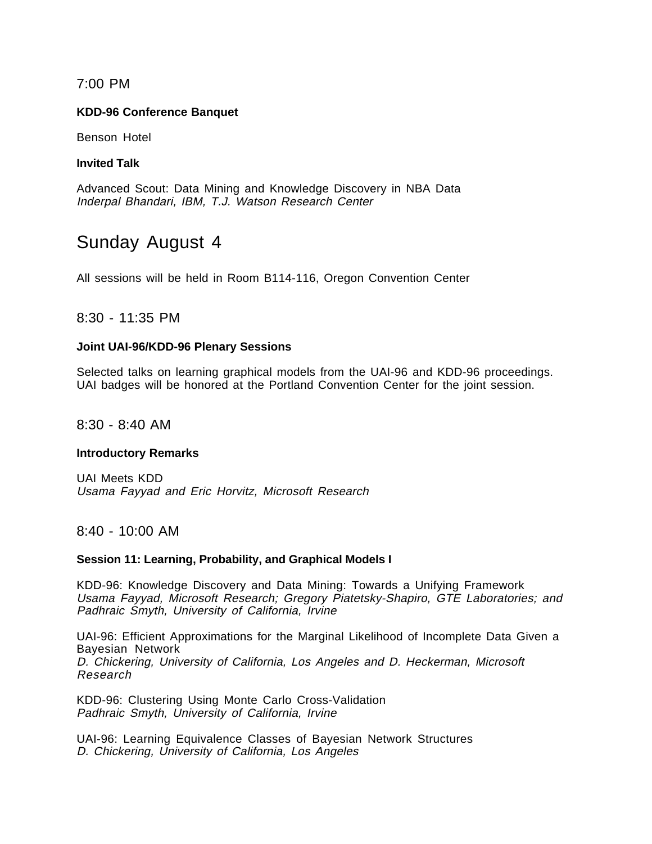# 7:00 PM

# **KDD-96 Conference Banquet**

Benson Hotel

### **Invited Talk**

Advanced Scout: Data Mining and Knowledge Discovery in NBA Data Inderpal Bhandari, IBM, T.J. Watson Research Center

# Sunday August 4

All sessions will be held in Room B114-116, Oregon Convention Center

# 8:30 - 11:35 PM

### **Joint UAI-96/KDD-96 Plenary Sessions**

Selected talks on learning graphical models from the UAI-96 and KDD-96 proceedings. UAI badges will be honored at the Portland Convention Center for the joint session.

8:30 - 8:40 AM

#### **Introductory Remarks**

UAI Meets KDD Usama Fayyad and Eric Horvitz, Microsoft Research

8:40 - 10:00 AM

#### **Session 11: Learning, Probability, and Graphical Models I**

KDD-96: Knowledge Discovery and Data Mining: Towards a Unifying Framework Usama Fayyad, Microsoft Research; Gregory Piatetsky-Shapiro, GTE Laboratories; and Padhraic Smyth, University of California, Irvine

UAI-96: Efficient Approximations for the Marginal Likelihood of Incomplete Data Given a Bayesian Network D. Chickering, University of California, Los Angeles and D. Heckerman, Microsoft Research

KDD-96: Clustering Using Monte Carlo Cross-Validation Padhraic Smyth, University of California, Irvine

UAI-96: Learning Equivalence Classes of Bayesian Network Structures D. Chickering, University of California, Los Angeles